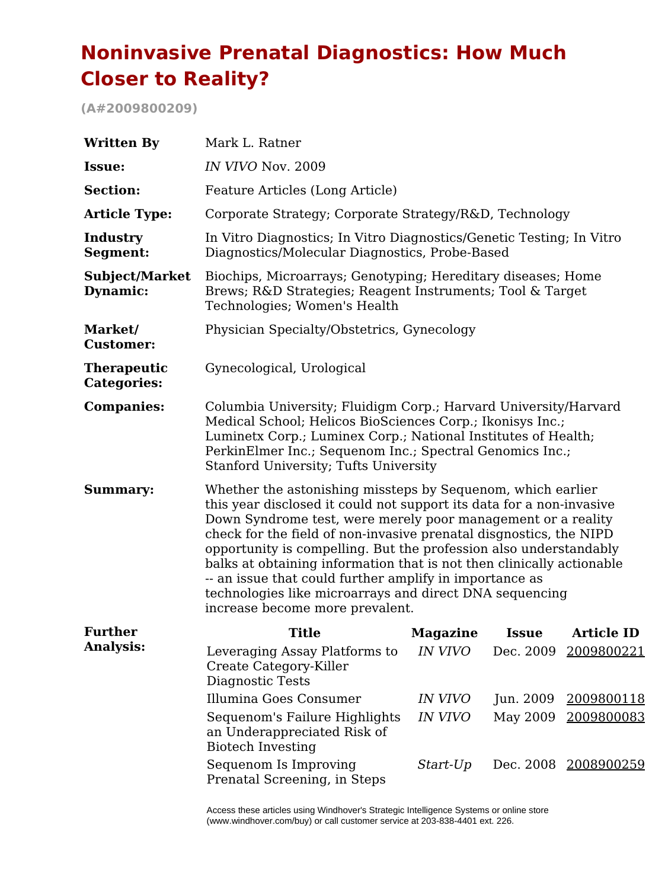# **Noninvasive Prenatal Diagnostics: How Much Closer to Reality?**

**(A#2009800209)**

| <b>Written By</b>                        | Mark L. Ratner                                                                                                                                                                                                                                                                                                                                                                                                                                                                                                                                                                   |                 |              |                      |  |
|------------------------------------------|----------------------------------------------------------------------------------------------------------------------------------------------------------------------------------------------------------------------------------------------------------------------------------------------------------------------------------------------------------------------------------------------------------------------------------------------------------------------------------------------------------------------------------------------------------------------------------|-----------------|--------------|----------------------|--|
| Issue:                                   | IN VIVO Nov. 2009                                                                                                                                                                                                                                                                                                                                                                                                                                                                                                                                                                |                 |              |                      |  |
| <b>Section:</b>                          | Feature Articles (Long Article)                                                                                                                                                                                                                                                                                                                                                                                                                                                                                                                                                  |                 |              |                      |  |
| <b>Article Type:</b>                     | Corporate Strategy; Corporate Strategy/R&D, Technology                                                                                                                                                                                                                                                                                                                                                                                                                                                                                                                           |                 |              |                      |  |
| Industry<br>Segment:                     | In Vitro Diagnostics; In Vitro Diagnostics/Genetic Testing; In Vitro<br>Diagnostics/Molecular Diagnostics, Probe-Based                                                                                                                                                                                                                                                                                                                                                                                                                                                           |                 |              |                      |  |
| Subject/Market<br>Dynamic:               | Biochips, Microarrays; Genotyping; Hereditary diseases; Home<br>Brews; R&D Strategies; Reagent Instruments; Tool & Target<br>Technologies; Women's Health                                                                                                                                                                                                                                                                                                                                                                                                                        |                 |              |                      |  |
| Market/<br><b>Customer:</b>              | Physician Specialty/Obstetrics, Gynecology                                                                                                                                                                                                                                                                                                                                                                                                                                                                                                                                       |                 |              |                      |  |
| <b>Therapeutic</b><br><b>Categories:</b> | Gynecological, Urological                                                                                                                                                                                                                                                                                                                                                                                                                                                                                                                                                        |                 |              |                      |  |
| <b>Companies:</b>                        | Columbia University; Fluidigm Corp.; Harvard University/Harvard<br>Medical School; Helicos BioSciences Corp.; Ikonisys Inc.;<br>Luminetx Corp.; Luminex Corp.; National Institutes of Health;<br>PerkinElmer Inc.; Sequenom Inc.; Spectral Genomics Inc.;<br>Stanford University; Tufts University                                                                                                                                                                                                                                                                               |                 |              |                      |  |
| <b>Summary:</b>                          | Whether the astonishing missteps by Sequenom, which earlier<br>this year disclosed it could not support its data for a non-invasive<br>Down Syndrome test, were merely poor management or a reality<br>check for the field of non-invasive prenatal disgnostics, the NIPD<br>opportunity is compelling. But the profession also understandably<br>balks at obtaining information that is not then clinically actionable<br>-- an issue that could further amplify in importance as<br>technologies like microarrays and direct DNA sequencing<br>increase become more prevalent. |                 |              |                      |  |
| <b>Further</b>                           | <b>Title</b>                                                                                                                                                                                                                                                                                                                                                                                                                                                                                                                                                                     | <b>Magazine</b> | <b>Issue</b> | <b>Article ID</b>    |  |
| <b>Analysis:</b>                         | Leveraging Assay Platforms to<br>Create Category-Killer<br>Diagnostic Tests                                                                                                                                                                                                                                                                                                                                                                                                                                                                                                      | <i>IN VIVO</i>  |              | Dec. 2009 2009800221 |  |
|                                          | Illumina Goes Consumer                                                                                                                                                                                                                                                                                                                                                                                                                                                                                                                                                           | <i>IN VIVO</i>  | Jun. 2009    | 2009800118           |  |
|                                          | Sequenom's Failure Highlights<br>an Underappreciated Risk of<br><b>Biotech Investing</b>                                                                                                                                                                                                                                                                                                                                                                                                                                                                                         | <i>IN VIVO</i>  | May 2009     | 2009800083           |  |
|                                          | Sequenom Is Improving<br>Prenatal Screening, in Steps                                                                                                                                                                                                                                                                                                                                                                                                                                                                                                                            | Start-Up        |              | Dec. 2008 2008900259 |  |

Access these articles using Windhover's Strategic Intelligence Systems or online store (www.windhover.com/buy) or call customer service at 203-838-4401 ext. 226.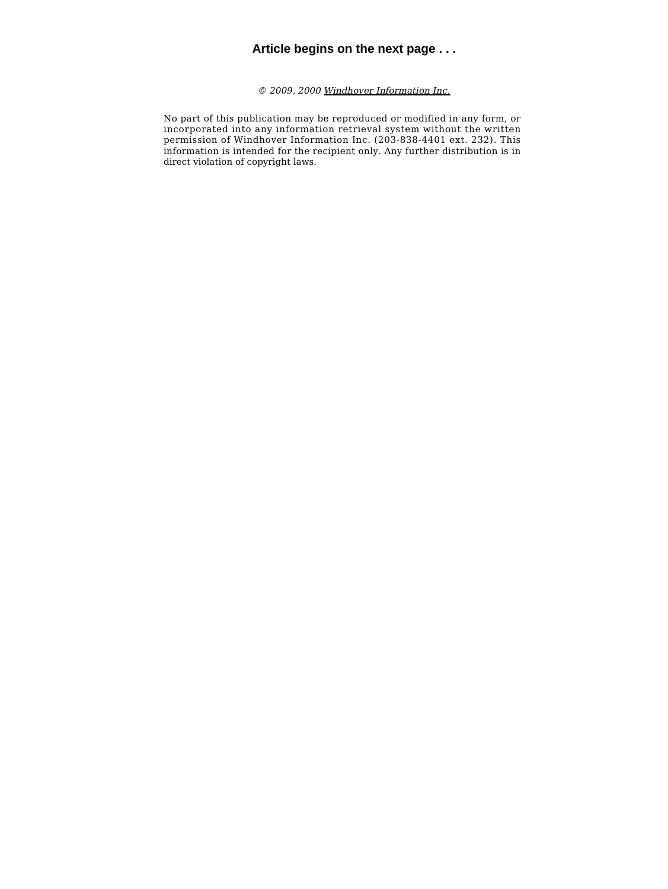# **Article begins on the next page . . .**

*© 2009, 2000 [Windhover Information Inc.](http://www.windhover.com)*

No part of this publication may be reproduced or modified in any form, or incorporated into any information retrieval system without the written permission of Windhover Information Inc. (203-838-4401 ext. 232). This information is intended for the recipient only. Any further distribution is in direct violation of copyright laws.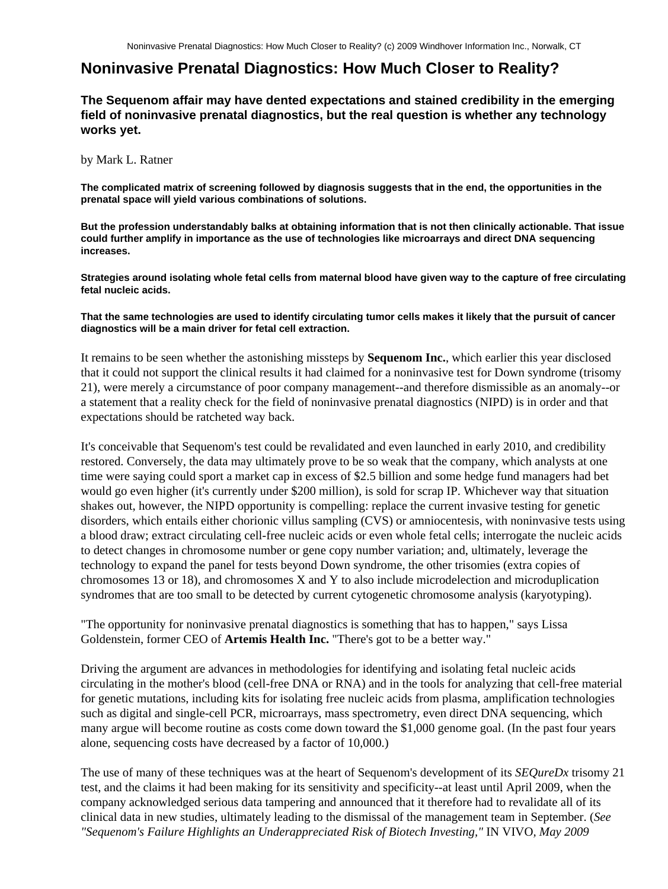# **Noninvasive Prenatal Diagnostics: How Much Closer to Reality?**

**The Sequenom affair may have dented expectations and stained credibility in the emerging field of noninvasive prenatal diagnostics, but the real question is whether any technology works yet.**

by Mark L. Ratner

**The complicated matrix of screening followed by diagnosis suggests that in the end, the opportunities in the prenatal space will yield various combinations of solutions.**

**But the profession understandably balks at obtaining information that is not then clinically actionable. That issue could further amplify in importance as the use of technologies like microarrays and direct DNA sequencing increases.**

**Strategies around isolating whole fetal cells from maternal blood have given way to the capture of free circulating fetal nucleic acids.**

#### **That the same technologies are used to identify circulating tumor cells makes it likely that the pursuit of cancer diagnostics will be a main driver for fetal cell extraction.**

It remains to be seen whether the astonishing missteps by **Sequenom Inc.**, which earlier this year disclosed that it could not support the clinical results it had claimed for a noninvasive test for Down syndrome (trisomy 21), were merely a circumstance of poor company management--and therefore dismissible as an anomaly--or a statement that a reality check for the field of noninvasive prenatal diagnostics (NIPD) is in order and that expectations should be ratcheted way back.

It's conceivable that Sequenom's test could be revalidated and even launched in early 2010, and credibility restored. Conversely, the data may ultimately prove to be so weak that the company, which analysts at one time were saying could sport a market cap in excess of \$2.5 billion and some hedge fund managers had bet would go even higher (it's currently under \$200 million), is sold for scrap IP. Whichever way that situation shakes out, however, the NIPD opportunity is compelling: replace the current invasive testing for genetic disorders, which entails either chorionic villus sampling (CVS) or amniocentesis, with noninvasive tests using a blood draw; extract circulating cell-free nucleic acids or even whole fetal cells; interrogate the nucleic acids to detect changes in chromosome number or gene copy number variation; and, ultimately, leverage the technology to expand the panel for tests beyond Down syndrome, the other trisomies (extra copies of chromosomes 13 or 18), and chromosomes X and Y to also include microdelection and microduplication syndromes that are too small to be detected by current cytogenetic chromosome analysis (karyotyping).

"The opportunity for noninvasive prenatal diagnostics is something that has to happen," says Lissa Goldenstein, former CEO of **Artemis Health Inc.** "There's got to be a better way."

Driving the argument are advances in methodologies for identifying and isolating fetal nucleic acids circulating in the mother's blood (cell-free DNA or RNA) and in the tools for analyzing that cell-free material for genetic mutations, including kits for isolating free nucleic acids from plasma, amplification technologies such as digital and single-cell PCR, microarrays, mass spectrometry, even direct DNA sequencing, which many argue will become routine as costs come down toward the \$1,000 genome goal. (In the past four years alone, sequencing costs have decreased by a factor of 10,000.)

The use of many of these techniques was at the heart of Sequenom's development of its *SEQureDx* trisomy 21 test, and the claims it had been making for its sensitivity and specificity--at least until April 2009, when the company acknowledged serious data tampering and announced that it therefore had to revalidate all of its clinical data in new studies, ultimately leading to the dismissal of the management team in September. (*See "Sequenom's Failure Highlights an Underappreciated Risk of Biotech Investing,"* IN VIVO*, May 2009*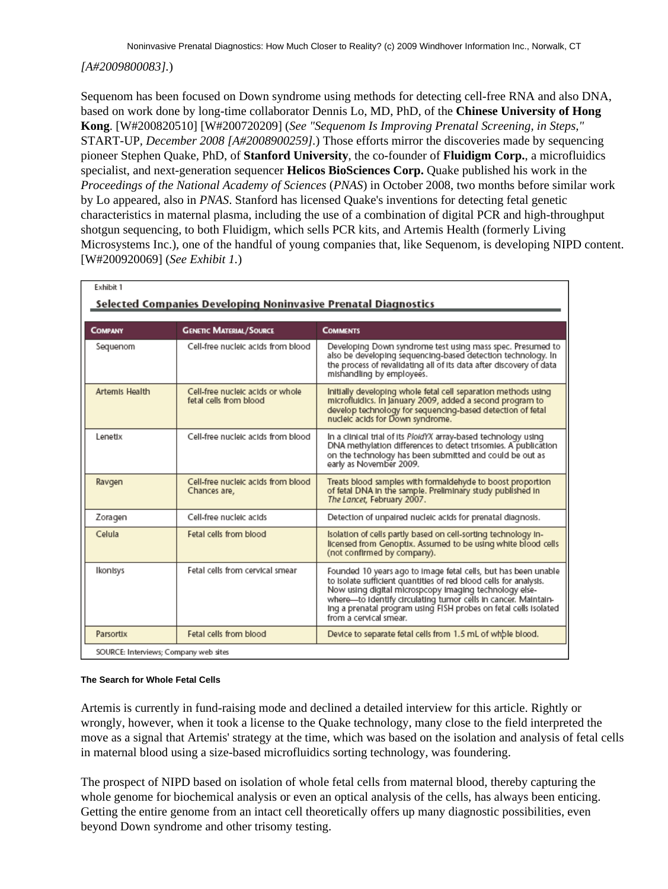# *[A#2009800083].*)

Sequenom has been focused on Down syndrome using methods for detecting cell-free RNA and also DNA, based on work done by long-time collaborator Dennis Lo, MD, PhD, of the **Chinese University of Hong Kong**. [W#200820510] [W#200720209] (*See "Sequenom Is Improving Prenatal Screening, in Steps,"* START-UP*, December 2008 [A#2008900259].*) Those efforts mirror the discoveries made by sequencing pioneer Stephen Quake, PhD, of **Stanford University**, the co-founder of **Fluidigm Corp.**, a microfluidics specialist, and next-generation sequencer **Helicos BioSciences Corp.** Quake published his work in the *Proceedings of the National Academy of Sciences* (*PNAS*) in October 2008, two months before similar work by Lo appeared, also in *PNAS*. Stanford has licensed Quake's inventions for detecting fetal genetic characteristics in maternal plasma, including the use of a combination of digital PCR and high-throughput shotgun sequencing, to both Fluidigm, which sells PCR kits, and Artemis Health (formerly Living Microsystems Inc.), one of the handful of young companies that, like Sequenom, is developing NIPD content. [W#200920069] (*See Exhibit 1.*)

| Exhibit 1                                                      |                                                            |                                                                                                                                                                                                                                                                                                                                                               |  |  |  |
|----------------------------------------------------------------|------------------------------------------------------------|---------------------------------------------------------------------------------------------------------------------------------------------------------------------------------------------------------------------------------------------------------------------------------------------------------------------------------------------------------------|--|--|--|
| Selected Companies Developing Noninvasive Prenatal Diagnostics |                                                            |                                                                                                                                                                                                                                                                                                                                                               |  |  |  |
| COMPANY                                                        | <b>GENETIC MATERIAL/SOURCE</b>                             | <b>COMMENTS</b>                                                                                                                                                                                                                                                                                                                                               |  |  |  |
|                                                                |                                                            |                                                                                                                                                                                                                                                                                                                                                               |  |  |  |
| Sequenom                                                       | Cell-free nucleic acids from blood                         | Developing Down syndrome test using mass spec. Presumed to<br>also be developing sequencing-based detection technology. In<br>the process of revalidating all of its data after discovery of data<br>mishandling by employees.                                                                                                                                |  |  |  |
| <b>Artemis Health</b>                                          | Cell-free nucleic acids or whole<br>fetal cells from blood | Initially developing whole fetal cell separation methods using<br>microfluidics. In January 2009, added a second program to<br>develop technology for sequencing-based detection of fetal<br>nucleic acids for Down syndrome.                                                                                                                                 |  |  |  |
| Lenetix                                                        | Cell-free nucleic acids from blood                         | In a clinical trial of its PloidYX array-based technology using<br>DNA methylation differences to detect trisomies. A publication<br>on the technology has been submitted and could be out as<br>early as November 2009.                                                                                                                                      |  |  |  |
| Ravgen                                                         | Cell-free nucleic acids from blood<br>Chances are,         | Treats blood samples with formaldehyde to boost proportion<br>of fetal DNA in the sample. Preliminary study published in<br>The Lancet, February 2007.                                                                                                                                                                                                        |  |  |  |
| Zoragen                                                        | Cell-free nucleic acids                                    | Detection of unpaired nucleic acids for prenatal diagnosis.                                                                                                                                                                                                                                                                                                   |  |  |  |
| Celula                                                         | Fetal cells from blood                                     | Isolation of cells partly based on cell-sorting technology in-<br>licensed from Genoptix. Assumed to be using white blood cells<br>(not confirmed by company).                                                                                                                                                                                                |  |  |  |
| Ikonisys                                                       | Fetal cells from cervical smear                            | Founded 10 years ago to Image fetal cells, but has been unable<br>to Isolate sufficient quantities of red blood cells for analysis.<br>Now using digital microspcopy imaging technology else-<br>where-to Identify circulating tumor cells in cancer. Maintain-<br>Ing a prenatal program using FISH probes on fetal cells isolated<br>from a cervical smear. |  |  |  |
| Parsortix                                                      | Fetal cells from blood                                     | Device to separate fetal cells from 1.5 mL of whble blood.                                                                                                                                                                                                                                                                                                    |  |  |  |
|                                                                | SOURCE: Interviews; Company web sites                      |                                                                                                                                                                                                                                                                                                                                                               |  |  |  |

#### **The Search for Whole Fetal Cells**

Artemis is currently in fund-raising mode and declined a detailed interview for this article. Rightly or wrongly, however, when it took a license to the Quake technology, many close to the field interpreted the move as a signal that Artemis' strategy at the time, which was based on the isolation and analysis of fetal cells in maternal blood using a size-based microfluidics sorting technology, was foundering.

The prospect of NIPD based on isolation of whole fetal cells from maternal blood, thereby capturing the whole genome for biochemical analysis or even an optical analysis of the cells, has always been enticing. Getting the entire genome from an intact cell theoretically offers up many diagnostic possibilities, even beyond Down syndrome and other trisomy testing.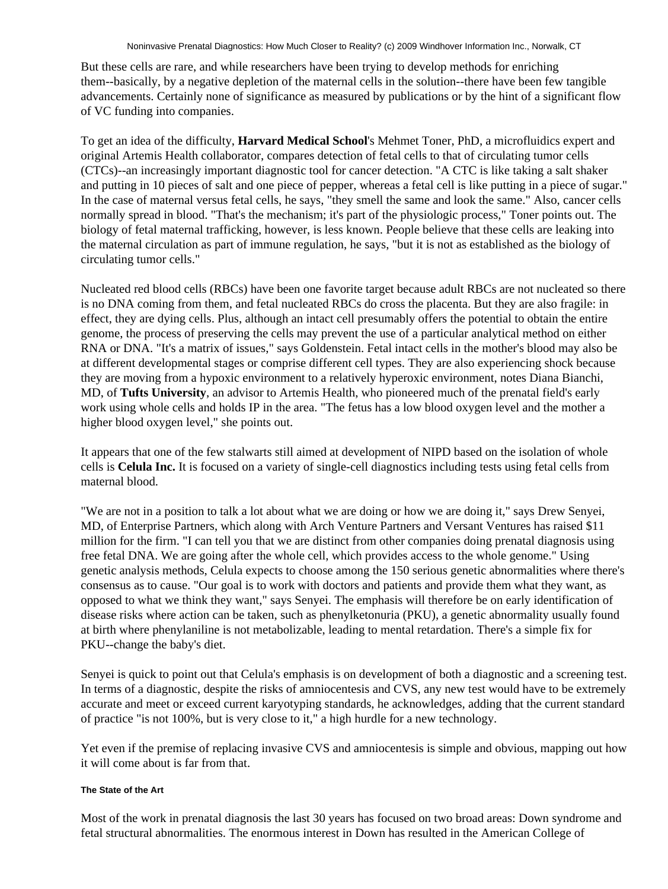But these cells are rare, and while researchers have been trying to develop methods for enriching them--basically, by a negative depletion of the maternal cells in the solution--there have been few tangible advancements. Certainly none of significance as measured by publications or by the hint of a significant flow of VC funding into companies.

To get an idea of the difficulty, **Harvard Medical School**'s Mehmet Toner, PhD, a microfluidics expert and original Artemis Health collaborator, compares detection of fetal cells to that of circulating tumor cells (CTCs)--an increasingly important diagnostic tool for cancer detection. "A CTC is like taking a salt shaker and putting in 10 pieces of salt and one piece of pepper, whereas a fetal cell is like putting in a piece of sugar." In the case of maternal versus fetal cells, he says, "they smell the same and look the same." Also, cancer cells normally spread in blood. "That's the mechanism; it's part of the physiologic process," Toner points out. The biology of fetal maternal trafficking, however, is less known. People believe that these cells are leaking into the maternal circulation as part of immune regulation, he says, "but it is not as established as the biology of circulating tumor cells."

Nucleated red blood cells (RBCs) have been one favorite target because adult RBCs are not nucleated so there is no DNA coming from them, and fetal nucleated RBCs do cross the placenta. But they are also fragile: in effect, they are dying cells. Plus, although an intact cell presumably offers the potential to obtain the entire genome, the process of preserving the cells may prevent the use of a particular analytical method on either RNA or DNA. "It's a matrix of issues," says Goldenstein. Fetal intact cells in the mother's blood may also be at different developmental stages or comprise different cell types. They are also experiencing shock because they are moving from a hypoxic environment to a relatively hyperoxic environment, notes Diana Bianchi, MD, of **Tufts University**, an advisor to Artemis Health, who pioneered much of the prenatal field's early work using whole cells and holds IP in the area. "The fetus has a low blood oxygen level and the mother a higher blood oxygen level," she points out.

It appears that one of the few stalwarts still aimed at development of NIPD based on the isolation of whole cells is **Celula Inc.** It is focused on a variety of single-cell diagnostics including tests using fetal cells from maternal blood.

"We are not in a position to talk a lot about what we are doing or how we are doing it," says Drew Senyei, MD, of Enterprise Partners, which along with Arch Venture Partners and Versant Ventures has raised \$11 million for the firm. "I can tell you that we are distinct from other companies doing prenatal diagnosis using free fetal DNA. We are going after the whole cell, which provides access to the whole genome." Using genetic analysis methods, Celula expects to choose among the 150 serious genetic abnormalities where there's consensus as to cause. "Our goal is to work with doctors and patients and provide them what they want, as opposed to what we think they want," says Senyei. The emphasis will therefore be on early identification of disease risks where action can be taken, such as phenylketonuria (PKU), a genetic abnormality usually found at birth where phenylaniline is not metabolizable, leading to mental retardation. There's a simple fix for PKU--change the baby's diet.

Senyei is quick to point out that Celula's emphasis is on development of both a diagnostic and a screening test. In terms of a diagnostic, despite the risks of amniocentesis and CVS, any new test would have to be extremely accurate and meet or exceed current karyotyping standards, he acknowledges, adding that the current standard of practice "is not 100%, but is very close to it," a high hurdle for a new technology.

Yet even if the premise of replacing invasive CVS and amniocentesis is simple and obvious, mapping out how it will come about is far from that.

# **The State of the Art**

Most of the work in prenatal diagnosis the last 30 years has focused on two broad areas: Down syndrome and fetal structural abnormalities. The enormous interest in Down has resulted in the American College of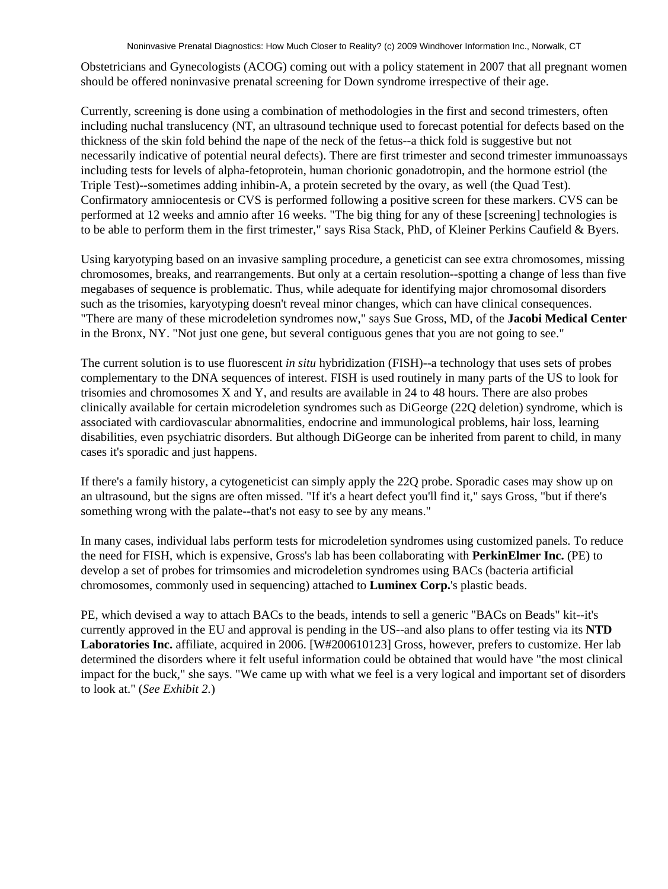Obstetricians and Gynecologists (ACOG) coming out with a policy statement in 2007 that all pregnant women should be offered noninvasive prenatal screening for Down syndrome irrespective of their age.

Currently, screening is done using a combination of methodologies in the first and second trimesters, often including nuchal translucency (NT, an ultrasound technique used to forecast potential for defects based on the thickness of the skin fold behind the nape of the neck of the fetus--a thick fold is suggestive but not necessarily indicative of potential neural defects). There are first trimester and second trimester immunoassays including tests for levels of alpha-fetoprotein, human chorionic gonadotropin, and the hormone estriol (the Triple Test)--sometimes adding inhibin-A, a protein secreted by the ovary, as well (the Quad Test). Confirmatory amniocentesis or CVS is performed following a positive screen for these markers. CVS can be performed at 12 weeks and amnio after 16 weeks. "The big thing for any of these [screening] technologies is to be able to perform them in the first trimester," says Risa Stack, PhD, of Kleiner Perkins Caufield & Byers.

Using karyotyping based on an invasive sampling procedure, a geneticist can see extra chromosomes, missing chromosomes, breaks, and rearrangements. But only at a certain resolution--spotting a change of less than five megabases of sequence is problematic. Thus, while adequate for identifying major chromosomal disorders such as the trisomies, karyotyping doesn't reveal minor changes, which can have clinical consequences. "There are many of these microdeletion syndromes now," says Sue Gross, MD, of the **Jacobi Medical Center** in the Bronx, NY. "Not just one gene, but several contiguous genes that you are not going to see."

The current solution is to use fluorescent *in situ* hybridization (FISH)--a technology that uses sets of probes complementary to the DNA sequences of interest. FISH is used routinely in many parts of the US to look for trisomies and chromosomes X and Y, and results are available in 24 to 48 hours. There are also probes clinically available for certain microdeletion syndromes such as DiGeorge (22Q deletion) syndrome, which is associated with cardiovascular abnormalities, endocrine and immunological problems, hair loss, learning disabilities, even psychiatric disorders. But although DiGeorge can be inherited from parent to child, in many cases it's sporadic and just happens.

If there's a family history, a cytogeneticist can simply apply the 22Q probe. Sporadic cases may show up on an ultrasound, but the signs are often missed. "If it's a heart defect you'll find it," says Gross, "but if there's something wrong with the palate--that's not easy to see by any means."

In many cases, individual labs perform tests for microdeletion syndromes using customized panels. To reduce the need for FISH, which is expensive, Gross's lab has been collaborating with **PerkinElmer Inc.** (PE) to develop a set of probes for trimsomies and microdeletion syndromes using BACs (bacteria artificial chromosomes, commonly used in sequencing) attached to **Luminex Corp.**'s plastic beads.

PE, which devised a way to attach BACs to the beads, intends to sell a generic "BACs on Beads" kit--it's currently approved in the EU and approval is pending in the US--and also plans to offer testing via its **NTD Laboratories Inc.** affiliate, acquired in 2006. [W#200610123] Gross, however, prefers to customize. Her lab determined the disorders where it felt useful information could be obtained that would have "the most clinical impact for the buck," she says. "We came up with what we feel is a very logical and important set of disorders to look at." (*See Exhibit 2.*)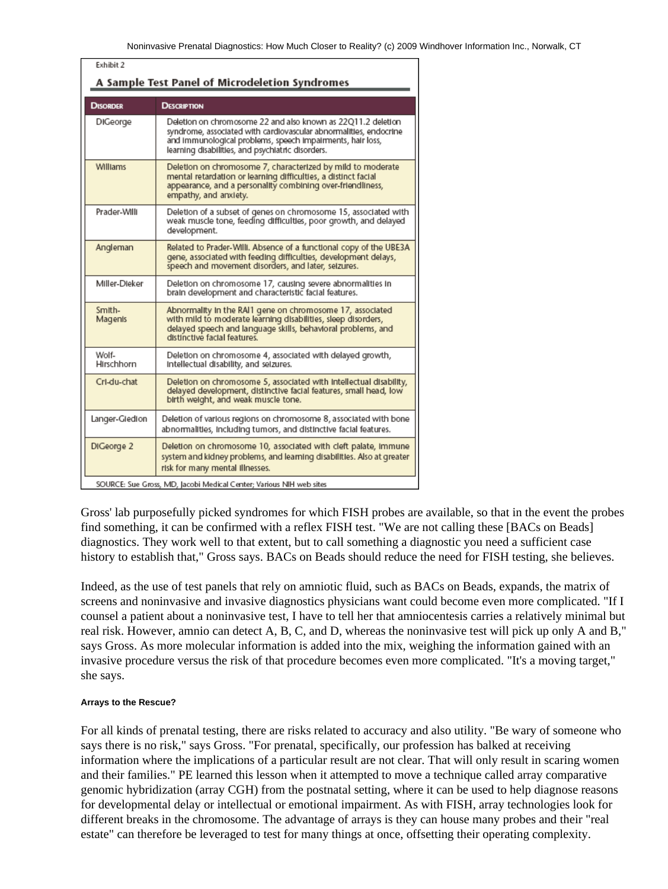| Exhibit 2<br>A Sample Test Panel of Microdeletion Syndromes         |                                                                                                                                                                                                                                                      |  |
|---------------------------------------------------------------------|------------------------------------------------------------------------------------------------------------------------------------------------------------------------------------------------------------------------------------------------------|--|
| <b>DISORDER</b>                                                     | <b>DESCRIPTION</b>                                                                                                                                                                                                                                   |  |
| DIGeorge                                                            | Deletion on chromosome 22 and also known as 22Q11.2 deletion<br>syndrome, associated with cardiovascular abnormalities, endocrine<br>and Immunological problems, speech impairments, hair loss,<br>learning disabilities, and psychiatric disorders. |  |
| <b>Williams</b>                                                     | Deletion on chromosome 7, characterized by mild to moderate<br>mental retardation or learning difficulties, a distinct facial<br>appearance, and a personality combining over-friendliness,<br>empathy, and anxiety.                                 |  |
| Prader-Willi                                                        | Deletion of a subset of genes on chromosome 15, associated with<br>weak muscle tone, feeding difficulties, poor growth, and delayed<br>development.                                                                                                  |  |
| Angleman                                                            | Related to Prader-Willi. Absence of a functional copy of the UBE3A<br>gene, associated with feeding difficulties, development delays,<br>speech and movement disorders, and later, seizures.                                                         |  |
| Miller-Dieker                                                       | Deletion on chromosome 17, causing severe abnormalities in<br>brain development and characteristic facial features.                                                                                                                                  |  |
| Smith-<br>Magenis                                                   | Abnormality in the RAI1 gene on chromosome 17, associated<br>with mild to moderate learning disabilities, sleep disorders,<br>delayed speech and language skills, behavioral problems, and<br>distinctive facial features.                           |  |
| Wolf-<br>Hirschhorn                                                 | Deletion on chromosome 4, associated with delayed growth,<br>Intellectual disability, and seizures.                                                                                                                                                  |  |
| Cri-du-chat                                                         | Deletion on chromosome 5, associated with intellectual disability,<br>delayed development, distinctive facial features, small head, low<br>birth weight, and weak muscle tone.                                                                       |  |
| Langer-Gledion                                                      | Deletion of various regions on chromosome 8, associated with bone<br>abnormalities, including tumors, and distinctive facial features.                                                                                                               |  |
| DIGeorge 2                                                          | Deletion on chromosome 10, associated with cleft palate, immune<br>system and kidney problems, and learning disabilities. Also at greater<br>risk for many mental illnesses.                                                                         |  |
| SOURCE: Sue Gross, MD, Jacobi Medical Center; Various NIH web sites |                                                                                                                                                                                                                                                      |  |

Gross' lab purposefully picked syndromes for which FISH probes are available, so that in the event the probes find something, it can be confirmed with a reflex FISH test. "We are not calling these [BACs on Beads] diagnostics. They work well to that extent, but to call something a diagnostic you need a sufficient case history to establish that," Gross says. BACs on Beads should reduce the need for FISH testing, she believes.

Indeed, as the use of test panels that rely on amniotic fluid, such as BACs on Beads, expands, the matrix of screens and noninvasive and invasive diagnostics physicians want could become even more complicated. "If I counsel a patient about a noninvasive test, I have to tell her that amniocentesis carries a relatively minimal but real risk. However, amnio can detect A, B, C, and D, whereas the noninvasive test will pick up only A and B," says Gross. As more molecular information is added into the mix, weighing the information gained with an invasive procedure versus the risk of that procedure becomes even more complicated. "It's a moving target," she says.

# **Arrays to the Rescue?**

For all kinds of prenatal testing, there are risks related to accuracy and also utility. "Be wary of someone who says there is no risk," says Gross. "For prenatal, specifically, our profession has balked at receiving information where the implications of a particular result are not clear. That will only result in scaring women and their families." PE learned this lesson when it attempted to move a technique called array comparative genomic hybridization (array CGH) from the postnatal setting, where it can be used to help diagnose reasons for developmental delay or intellectual or emotional impairment. As with FISH, array technologies look for different breaks in the chromosome. The advantage of arrays is they can house many probes and their "real estate" can therefore be leveraged to test for many things at once, offsetting their operating complexity.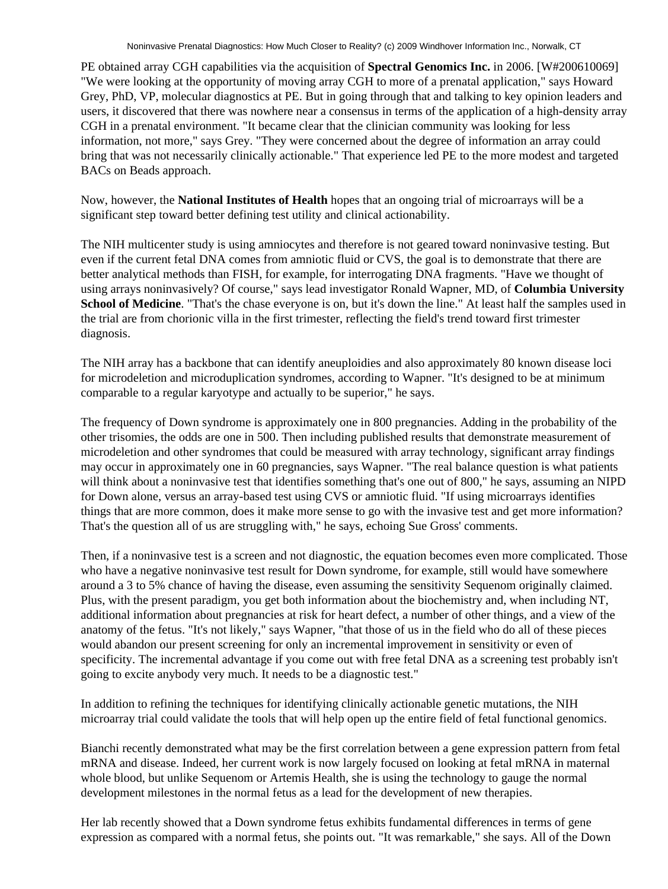PE obtained array CGH capabilities via the acquisition of **Spectral Genomics Inc.** in 2006. [W#200610069] "We were looking at the opportunity of moving array CGH to more of a prenatal application," says Howard Grey, PhD, VP, molecular diagnostics at PE. But in going through that and talking to key opinion leaders and users, it discovered that there was nowhere near a consensus in terms of the application of a high-density array CGH in a prenatal environment. "It became clear that the clinician community was looking for less information, not more," says Grey. "They were concerned about the degree of information an array could bring that was not necessarily clinically actionable." That experience led PE to the more modest and targeted BACs on Beads approach.

Now, however, the **National Institutes of Health** hopes that an ongoing trial of microarrays will be a significant step toward better defining test utility and clinical actionability.

The NIH multicenter study is using amniocytes and therefore is not geared toward noninvasive testing. But even if the current fetal DNA comes from amniotic fluid or CVS, the goal is to demonstrate that there are better analytical methods than FISH, for example, for interrogating DNA fragments. "Have we thought of using arrays noninvasively? Of course," says lead investigator Ronald Wapner, MD, of **Columbia University School of Medicine**. "That's the chase everyone is on, but it's down the line." At least half the samples used in the trial are from chorionic villa in the first trimester, reflecting the field's trend toward first trimester diagnosis.

The NIH array has a backbone that can identify aneuploidies and also approximately 80 known disease loci for microdeletion and microduplication syndromes, according to Wapner. "It's designed to be at minimum comparable to a regular karyotype and actually to be superior," he says.

The frequency of Down syndrome is approximately one in 800 pregnancies. Adding in the probability of the other trisomies, the odds are one in 500. Then including published results that demonstrate measurement of microdeletion and other syndromes that could be measured with array technology, significant array findings may occur in approximately one in 60 pregnancies, says Wapner. "The real balance question is what patients will think about a noninvasive test that identifies something that's one out of 800," he says, assuming an NIPD for Down alone, versus an array-based test using CVS or amniotic fluid. "If using microarrays identifies things that are more common, does it make more sense to go with the invasive test and get more information? That's the question all of us are struggling with," he says, echoing Sue Gross' comments.

Then, if a noninvasive test is a screen and not diagnostic, the equation becomes even more complicated. Those who have a negative noninvasive test result for Down syndrome, for example, still would have somewhere around a 3 to 5% chance of having the disease, even assuming the sensitivity Sequenom originally claimed. Plus, with the present paradigm, you get both information about the biochemistry and, when including NT, additional information about pregnancies at risk for heart defect, a number of other things, and a view of the anatomy of the fetus. "It's not likely," says Wapner, "that those of us in the field who do all of these pieces would abandon our present screening for only an incremental improvement in sensitivity or even of specificity. The incremental advantage if you come out with free fetal DNA as a screening test probably isn't going to excite anybody very much. It needs to be a diagnostic test."

In addition to refining the techniques for identifying clinically actionable genetic mutations, the NIH microarray trial could validate the tools that will help open up the entire field of fetal functional genomics.

Bianchi recently demonstrated what may be the first correlation between a gene expression pattern from fetal mRNA and disease. Indeed, her current work is now largely focused on looking at fetal mRNA in maternal whole blood, but unlike Sequenom or Artemis Health, she is using the technology to gauge the normal development milestones in the normal fetus as a lead for the development of new therapies.

Her lab recently showed that a Down syndrome fetus exhibits fundamental differences in terms of gene expression as compared with a normal fetus, she points out. "It was remarkable," she says. All of the Down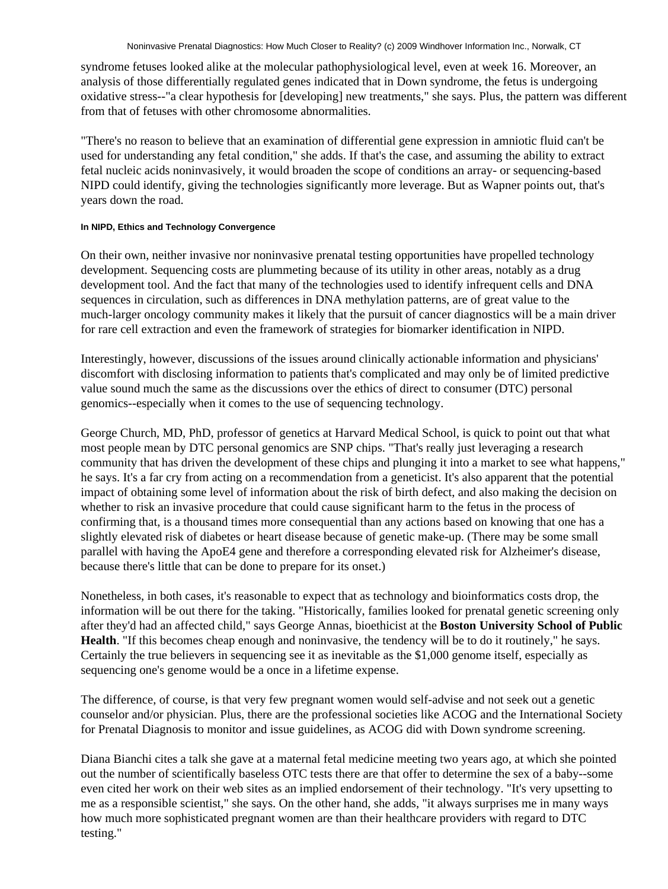syndrome fetuses looked alike at the molecular pathophysiological level, even at week 16. Moreover, an analysis of those differentially regulated genes indicated that in Down syndrome, the fetus is undergoing oxidative stress--"a clear hypothesis for [developing] new treatments," she says. Plus, the pattern was different from that of fetuses with other chromosome abnormalities.

"There's no reason to believe that an examination of differential gene expression in amniotic fluid can't be used for understanding any fetal condition," she adds. If that's the case, and assuming the ability to extract fetal nucleic acids noninvasively, it would broaden the scope of conditions an array- or sequencing-based NIPD could identify, giving the technologies significantly more leverage. But as Wapner points out, that's years down the road.

# **In NIPD, Ethics and Technology Convergence**

On their own, neither invasive nor noninvasive prenatal testing opportunities have propelled technology development. Sequencing costs are plummeting because of its utility in other areas, notably as a drug development tool. And the fact that many of the technologies used to identify infrequent cells and DNA sequences in circulation, such as differences in DNA methylation patterns, are of great value to the much-larger oncology community makes it likely that the pursuit of cancer diagnostics will be a main driver for rare cell extraction and even the framework of strategies for biomarker identification in NIPD.

Interestingly, however, discussions of the issues around clinically actionable information and physicians' discomfort with disclosing information to patients that's complicated and may only be of limited predictive value sound much the same as the discussions over the ethics of direct to consumer (DTC) personal genomics--especially when it comes to the use of sequencing technology.

George Church, MD, PhD, professor of genetics at Harvard Medical School, is quick to point out that what most people mean by DTC personal genomics are SNP chips. "That's really just leveraging a research community that has driven the development of these chips and plunging it into a market to see what happens," he says. It's a far cry from acting on a recommendation from a geneticist. It's also apparent that the potential impact of obtaining some level of information about the risk of birth defect, and also making the decision on whether to risk an invasive procedure that could cause significant harm to the fetus in the process of confirming that, is a thousand times more consequential than any actions based on knowing that one has a slightly elevated risk of diabetes or heart disease because of genetic make-up. (There may be some small parallel with having the ApoE4 gene and therefore a corresponding elevated risk for Alzheimer's disease, because there's little that can be done to prepare for its onset.)

Nonetheless, in both cases, it's reasonable to expect that as technology and bioinformatics costs drop, the information will be out there for the taking. "Historically, families looked for prenatal genetic screening only after they'd had an affected child," says George Annas, bioethicist at the **Boston University School of Public Health**. "If this becomes cheap enough and noninvasive, the tendency will be to do it routinely," he says. Certainly the true believers in sequencing see it as inevitable as the \$1,000 genome itself, especially as sequencing one's genome would be a once in a lifetime expense.

The difference, of course, is that very few pregnant women would self-advise and not seek out a genetic counselor and/or physician. Plus, there are the professional societies like ACOG and the International Society for Prenatal Diagnosis to monitor and issue guidelines, as ACOG did with Down syndrome screening.

Diana Bianchi cites a talk she gave at a maternal fetal medicine meeting two years ago, at which she pointed out the number of scientifically baseless OTC tests there are that offer to determine the sex of a baby--some even cited her work on their web sites as an implied endorsement of their technology. "It's very upsetting to me as a responsible scientist," she says. On the other hand, she adds, "it always surprises me in many ways how much more sophisticated pregnant women are than their healthcare providers with regard to DTC testing."